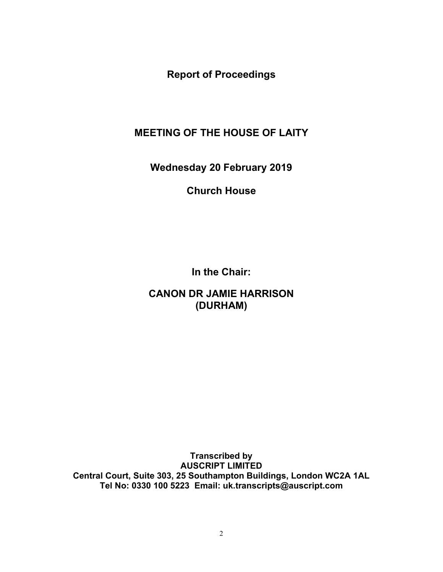**Report of Proceedings**

## **MEETING OF THE HOUSE OF LAITY**

**Wednesday 20 February 2019**

**Church House**

**In the Chair:**

**CANON DR JAMIE HARRISON (DURHAM)**

**Transcribed by AUSCRIPT LIMITED Central Court, Suite 303, 25 Southampton Buildings, London WC2A 1AL Tel No: 0330 100 5223 Email: uk.transcripts@auscript.com**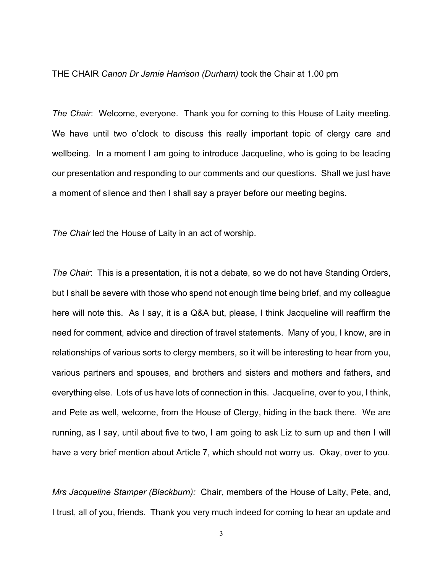## THE CHAIR *Canon Dr Jamie Harrison (Durham)* took the Chair at 1.00 pm

*The Chair*: Welcome, everyone. Thank you for coming to this House of Laity meeting. We have until two o'clock to discuss this really important topic of clergy care and wellbeing. In a moment I am going to introduce Jacqueline, who is going to be leading our presentation and responding to our comments and our questions. Shall we just have a moment of silence and then I shall say a prayer before our meeting begins.

*The Chair* led the House of Laity in an act of worship.

*The Chair*: This is a presentation, it is not a debate, so we do not have Standing Orders, but I shall be severe with those who spend not enough time being brief, and my colleague here will note this. As I say, it is a Q&A but, please, I think Jacqueline will reaffirm the need for comment, advice and direction of travel statements. Many of you, I know, are in relationships of various sorts to clergy members, so it will be interesting to hear from you, various partners and spouses, and brothers and sisters and mothers and fathers, and everything else. Lots of us have lots of connection in this. Jacqueline, over to you, I think, and Pete as well, welcome, from the House of Clergy, hiding in the back there. We are running, as I say, until about five to two, I am going to ask Liz to sum up and then I will have a very brief mention about Article 7, which should not worry us. Okay, over to you.

*Mrs Jacqueline Stamper (Blackburn):* Chair, members of the House of Laity, Pete, and, I trust, all of you, friends. Thank you very much indeed for coming to hear an update and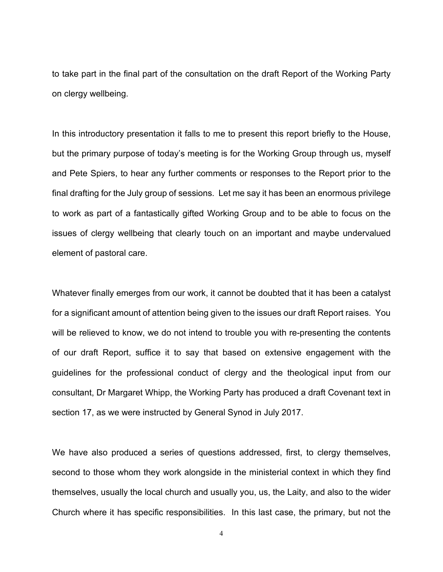to take part in the final part of the consultation on the draft Report of the Working Party on clergy wellbeing.

In this introductory presentation it falls to me to present this report briefly to the House, but the primary purpose of today's meeting is for the Working Group through us, myself and Pete Spiers, to hear any further comments or responses to the Report prior to the final drafting for the July group of sessions. Let me say it has been an enormous privilege to work as part of a fantastically gifted Working Group and to be able to focus on the issues of clergy wellbeing that clearly touch on an important and maybe undervalued element of pastoral care.

Whatever finally emerges from our work, it cannot be doubted that it has been a catalyst for a significant amount of attention being given to the issues our draft Report raises. You will be relieved to know, we do not intend to trouble you with re-presenting the contents of our draft Report, suffice it to say that based on extensive engagement with the guidelines for the professional conduct of clergy and the theological input from our consultant, Dr Margaret Whipp, the Working Party has produced a draft Covenant text in section 17, as we were instructed by General Synod in July 2017.

We have also produced a series of questions addressed, first, to clergy themselves, second to those whom they work alongside in the ministerial context in which they find themselves, usually the local church and usually you, us, the Laity, and also to the wider Church where it has specific responsibilities. In this last case, the primary, but not the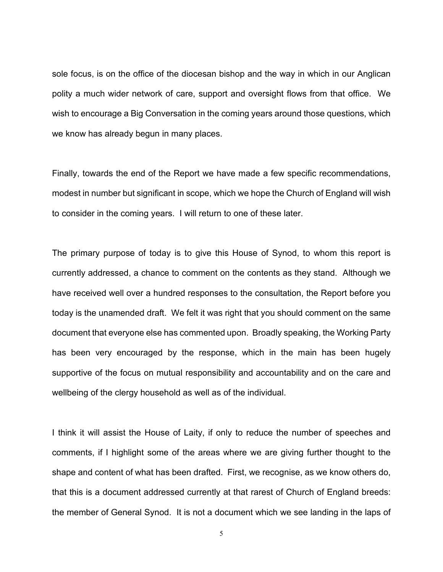sole focus, is on the office of the diocesan bishop and the way in which in our Anglican polity a much wider network of care, support and oversight flows from that office. We wish to encourage a Big Conversation in the coming years around those questions, which we know has already begun in many places.

Finally, towards the end of the Report we have made a few specific recommendations, modest in number but significant in scope, which we hope the Church of England will wish to consider in the coming years. I will return to one of these later.

The primary purpose of today is to give this House of Synod, to whom this report is currently addressed, a chance to comment on the contents as they stand. Although we have received well over a hundred responses to the consultation, the Report before you today is the unamended draft. We felt it was right that you should comment on the same document that everyone else has commented upon. Broadly speaking, the Working Party has been very encouraged by the response, which in the main has been hugely supportive of the focus on mutual responsibility and accountability and on the care and wellbeing of the clergy household as well as of the individual.

I think it will assist the House of Laity, if only to reduce the number of speeches and comments, if I highlight some of the areas where we are giving further thought to the shape and content of what has been drafted. First, we recognise, as we know others do, that this is a document addressed currently at that rarest of Church of England breeds: the member of General Synod. It is not a document which we see landing in the laps of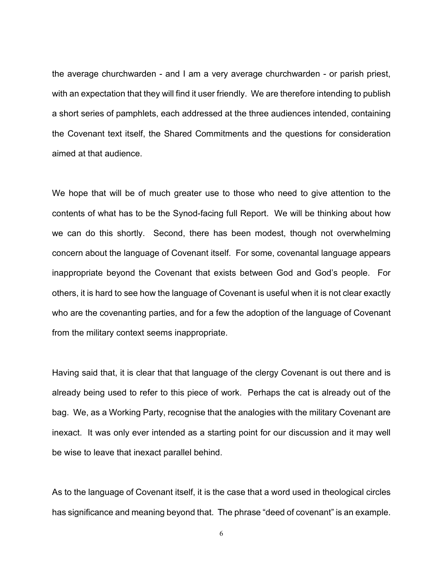the average churchwarden - and I am a very average churchwarden - or parish priest, with an expectation that they will find it user friendly. We are therefore intending to publish a short series of pamphlets, each addressed at the three audiences intended, containing the Covenant text itself, the Shared Commitments and the questions for consideration aimed at that audience.

We hope that will be of much greater use to those who need to give attention to the contents of what has to be the Synod-facing full Report. We will be thinking about how we can do this shortly. Second, there has been modest, though not overwhelming concern about the language of Covenant itself. For some, covenantal language appears inappropriate beyond the Covenant that exists between God and God's people. For others, it is hard to see how the language of Covenant is useful when it is not clear exactly who are the covenanting parties, and for a few the adoption of the language of Covenant from the military context seems inappropriate.

Having said that, it is clear that that language of the clergy Covenant is out there and is already being used to refer to this piece of work. Perhaps the cat is already out of the bag. We, as a Working Party, recognise that the analogies with the military Covenant are inexact. It was only ever intended as a starting point for our discussion and it may well be wise to leave that inexact parallel behind.

As to the language of Covenant itself, it is the case that a word used in theological circles has significance and meaning beyond that. The phrase "deed of covenant" is an example.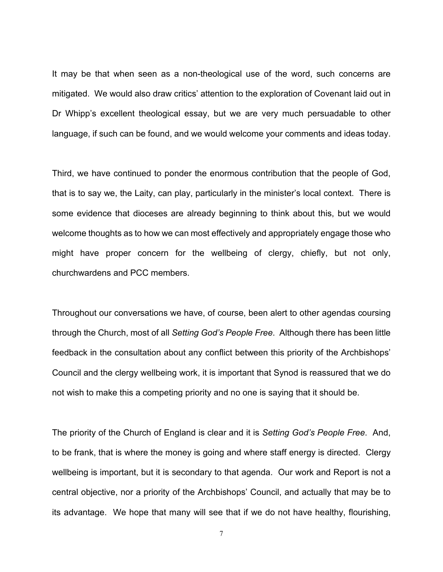It may be that when seen as a non-theological use of the word, such concerns are mitigated. We would also draw critics' attention to the exploration of Covenant laid out in Dr Whipp's excellent theological essay, but we are very much persuadable to other language, if such can be found, and we would welcome your comments and ideas today.

Third, we have continued to ponder the enormous contribution that the people of God, that is to say we, the Laity, can play, particularly in the minister's local context. There is some evidence that dioceses are already beginning to think about this, but we would welcome thoughts as to how we can most effectively and appropriately engage those who might have proper concern for the wellbeing of clergy, chiefly, but not only, churchwardens and PCC members.

Throughout our conversations we have, of course, been alert to other agendas coursing through the Church, most of all *Setting God's People Free*. Although there has been little feedback in the consultation about any conflict between this priority of the Archbishops' Council and the clergy wellbeing work, it is important that Synod is reassured that we do not wish to make this a competing priority and no one is saying that it should be.

The priority of the Church of England is clear and it is *Setting God's People Free*. And, to be frank, that is where the money is going and where staff energy is directed. Clergy wellbeing is important, but it is secondary to that agenda. Our work and Report is not a central objective, nor a priority of the Archbishops' Council, and actually that may be to its advantage. We hope that many will see that if we do not have healthy, flourishing,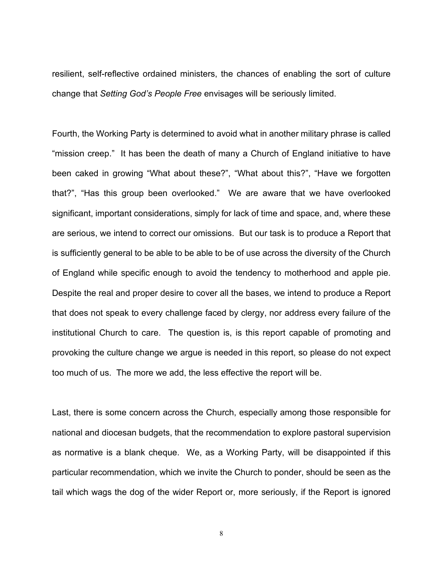resilient, self-reflective ordained ministers, the chances of enabling the sort of culture change that *Setting God's People Free* envisages will be seriously limited.

Fourth, the Working Party is determined to avoid what in another military phrase is called "mission creep." It has been the death of many a Church of England initiative to have been caked in growing "What about these?", "What about this?", "Have we forgotten that?", "Has this group been overlooked." We are aware that we have overlooked significant, important considerations, simply for lack of time and space, and, where these are serious, we intend to correct our omissions. But our task is to produce a Report that is sufficiently general to be able to be able to be of use across the diversity of the Church of England while specific enough to avoid the tendency to motherhood and apple pie. Despite the real and proper desire to cover all the bases, we intend to produce a Report that does not speak to every challenge faced by clergy, nor address every failure of the institutional Church to care. The question is, is this report capable of promoting and provoking the culture change we argue is needed in this report, so please do not expect too much of us. The more we add, the less effective the report will be.

Last, there is some concern across the Church, especially among those responsible for national and diocesan budgets, that the recommendation to explore pastoral supervision as normative is a blank cheque. We, as a Working Party, will be disappointed if this particular recommendation, which we invite the Church to ponder, should be seen as the tail which wags the dog of the wider Report or, more seriously, if the Report is ignored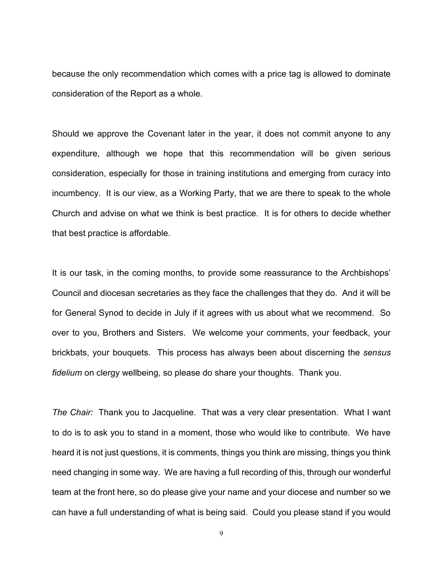because the only recommendation which comes with a price tag is allowed to dominate consideration of the Report as a whole.

Should we approve the Covenant later in the year, it does not commit anyone to any expenditure, although we hope that this recommendation will be given serious consideration, especially for those in training institutions and emerging from curacy into incumbency. It is our view, as a Working Party, that we are there to speak to the whole Church and advise on what we think is best practice. It is for others to decide whether that best practice is affordable.

It is our task, in the coming months, to provide some reassurance to the Archbishops' Council and diocesan secretaries as they face the challenges that they do. And it will be for General Synod to decide in July if it agrees with us about what we recommend. So over to you, Brothers and Sisters. We welcome your comments, your feedback, your brickbats, your bouquets. This process has always been about discerning the *sensus fidelium* on clergy wellbeing, so please do share your thoughts. Thank you.

*The Chair:* Thank you to Jacqueline. That was a very clear presentation. What I want to do is to ask you to stand in a moment, those who would like to contribute. We have heard it is not just questions, it is comments, things you think are missing, things you think need changing in some way. We are having a full recording of this, through our wonderful team at the front here, so do please give your name and your diocese and number so we can have a full understanding of what is being said. Could you please stand if you would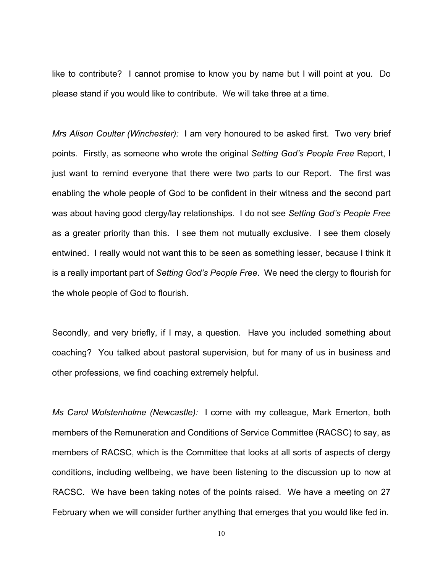like to contribute? I cannot promise to know you by name but I will point at you. Do please stand if you would like to contribute. We will take three at a time.

*Mrs Alison Coulter (Winchester):* I am very honoured to be asked first. Two very brief points. Firstly, as someone who wrote the original *Setting God's People Free* Report, I just want to remind everyone that there were two parts to our Report. The first was enabling the whole people of God to be confident in their witness and the second part was about having good clergy/lay relationships. I do not see *Setting God's People Free* as a greater priority than this. I see them not mutually exclusive. I see them closely entwined. I really would not want this to be seen as something lesser, because I think it is a really important part of *Setting God's People Free*. We need the clergy to flourish for the whole people of God to flourish.

Secondly, and very briefly, if I may, a question. Have you included something about coaching? You talked about pastoral supervision, but for many of us in business and other professions, we find coaching extremely helpful.

*Ms Carol Wolstenholme (Newcastle):* I come with my colleague, Mark Emerton, both members of the Remuneration and Conditions of Service Committee (RACSC) to say, as members of RACSC, which is the Committee that looks at all sorts of aspects of clergy conditions, including wellbeing, we have been listening to the discussion up to now at RACSC. We have been taking notes of the points raised. We have a meeting on 27 February when we will consider further anything that emerges that you would like fed in.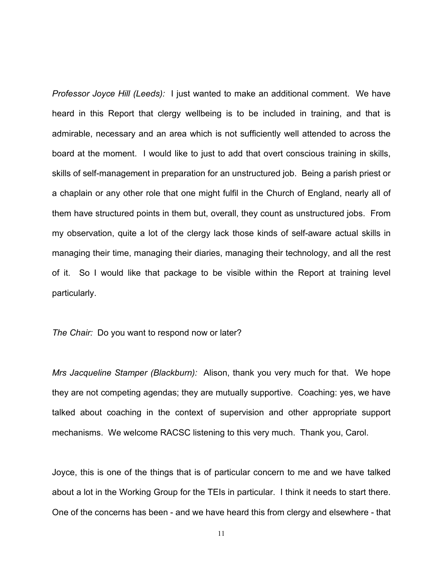*Professor Joyce Hill (Leeds):* I just wanted to make an additional comment. We have heard in this Report that clergy wellbeing is to be included in training, and that is admirable, necessary and an area which is not sufficiently well attended to across the board at the moment. I would like to just to add that overt conscious training in skills, skills of self-management in preparation for an unstructured job. Being a parish priest or a chaplain or any other role that one might fulfil in the Church of England, nearly all of them have structured points in them but, overall, they count as unstructured jobs. From my observation, quite a lot of the clergy lack those kinds of self-aware actual skills in managing their time, managing their diaries, managing their technology, and all the rest of it. So I would like that package to be visible within the Report at training level particularly.

*The Chair:* Do you want to respond now or later?

*Mrs Jacqueline Stamper (Blackburn):* Alison, thank you very much for that. We hope they are not competing agendas; they are mutually supportive. Coaching: yes, we have talked about coaching in the context of supervision and other appropriate support mechanisms. We welcome RACSC listening to this very much. Thank you, Carol.

Joyce, this is one of the things that is of particular concern to me and we have talked about a lot in the Working Group for the TEIs in particular. I think it needs to start there. One of the concerns has been - and we have heard this from clergy and elsewhere - that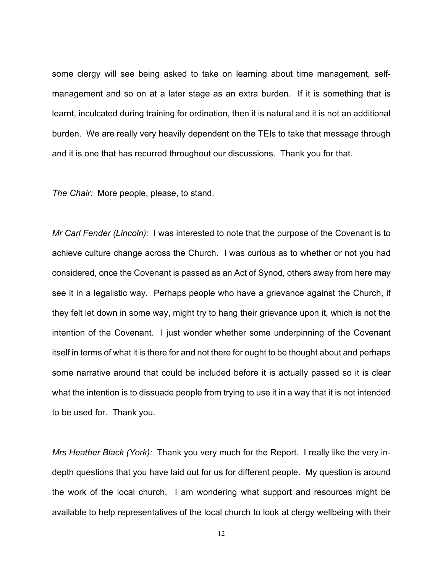some clergy will see being asked to take on learning about time management, selfmanagement and so on at a later stage as an extra burden. If it is something that is learnt, inculcated during training for ordination, then it is natural and it is not an additional burden. We are really very heavily dependent on the TEIs to take that message through and it is one that has recurred throughout our discussions. Thank you for that.

*The Chair:* More people, please, to stand.

*Mr Carl Fender (Lincoln):* I was interested to note that the purpose of the Covenant is to achieve culture change across the Church. I was curious as to whether or not you had considered, once the Covenant is passed as an Act of Synod, others away from here may see it in a legalistic way. Perhaps people who have a grievance against the Church, if they felt let down in some way, might try to hang their grievance upon it, which is not the intention of the Covenant. I just wonder whether some underpinning of the Covenant itself in terms of what it is there for and not there for ought to be thought about and perhaps some narrative around that could be included before it is actually passed so it is clear what the intention is to dissuade people from trying to use it in a way that it is not intended to be used for. Thank you.

*Mrs Heather Black (York):* Thank you very much for the Report. I really like the very indepth questions that you have laid out for us for different people. My question is around the work of the local church. I am wondering what support and resources might be available to help representatives of the local church to look at clergy wellbeing with their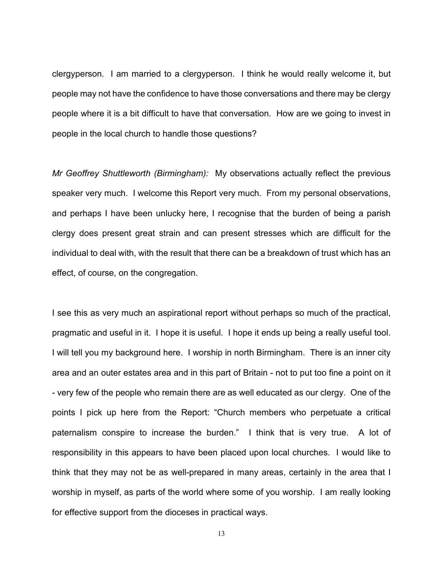clergyperson. I am married to a clergyperson. I think he would really welcome it, but people may not have the confidence to have those conversations and there may be clergy people where it is a bit difficult to have that conversation. How are we going to invest in people in the local church to handle those questions?

*Mr Geoffrey Shuttleworth (Birmingham):* My observations actually reflect the previous speaker very much. I welcome this Report very much. From my personal observations, and perhaps I have been unlucky here, I recognise that the burden of being a parish clergy does present great strain and can present stresses which are difficult for the individual to deal with, with the result that there can be a breakdown of trust which has an effect, of course, on the congregation.

I see this as very much an aspirational report without perhaps so much of the practical, pragmatic and useful in it. I hope it is useful. I hope it ends up being a really useful tool. I will tell you my background here. I worship in north Birmingham. There is an inner city area and an outer estates area and in this part of Britain - not to put too fine a point on it - very few of the people who remain there are as well educated as our clergy. One of the points I pick up here from the Report: "Church members who perpetuate a critical paternalism conspire to increase the burden." I think that is very true. A lot of responsibility in this appears to have been placed upon local churches. I would like to think that they may not be as well-prepared in many areas, certainly in the area that I worship in myself, as parts of the world where some of you worship. I am really looking for effective support from the dioceses in practical ways.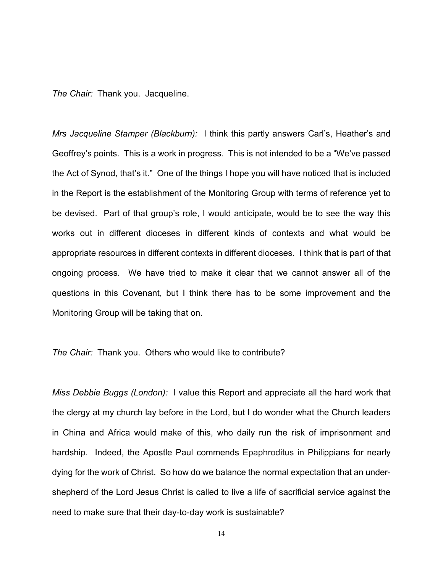*The Chair:* Thank you. Jacqueline.

*Mrs Jacqueline Stamper (Blackburn):* I think this partly answers Carl's, Heather's and Geoffrey's points. This is a work in progress. This is not intended to be a "We've passed the Act of Synod, that's it." One of the things I hope you will have noticed that is included in the Report is the establishment of the Monitoring Group with terms of reference yet to be devised. Part of that group's role, I would anticipate, would be to see the way this works out in different dioceses in different kinds of contexts and what would be appropriate resources in different contexts in different dioceses. I think that is part of that ongoing process. We have tried to make it clear that we cannot answer all of the questions in this Covenant, but I think there has to be some improvement and the Monitoring Group will be taking that on.

## *The Chair:* Thank you. Others who would like to contribute?

*Miss Debbie Buggs (London):* I value this Report and appreciate all the hard work that the clergy at my church lay before in the Lord, but I do wonder what the Church leaders in China and Africa would make of this, who daily run the risk of imprisonment and hardship. Indeed, the Apostle Paul commends Epaphroditus in Philippians for nearly dying for the work of Christ. So how do we balance the normal expectation that an undershepherd of the Lord Jesus Christ is called to live a life of sacrificial service against the need to make sure that their day-to-day work is sustainable?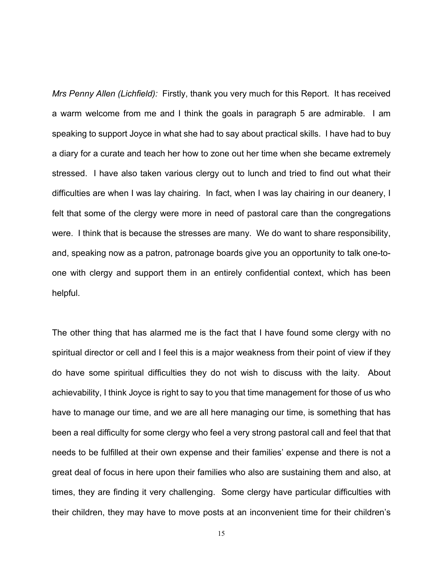*Mrs Penny Allen (Lichfield):* Firstly, thank you very much for this Report. It has received a warm welcome from me and I think the goals in paragraph 5 are admirable. I am speaking to support Joyce in what she had to say about practical skills. I have had to buy a diary for a curate and teach her how to zone out her time when she became extremely stressed. I have also taken various clergy out to lunch and tried to find out what their difficulties are when I was lay chairing. In fact, when I was lay chairing in our deanery, I felt that some of the clergy were more in need of pastoral care than the congregations were. I think that is because the stresses are many. We do want to share responsibility, and, speaking now as a patron, patronage boards give you an opportunity to talk one-toone with clergy and support them in an entirely confidential context, which has been helpful.

The other thing that has alarmed me is the fact that I have found some clergy with no spiritual director or cell and I feel this is a major weakness from their point of view if they do have some spiritual difficulties they do not wish to discuss with the laity. About achievability, I think Joyce is right to say to you that time management for those of us who have to manage our time, and we are all here managing our time, is something that has been a real difficulty for some clergy who feel a very strong pastoral call and feel that that needs to be fulfilled at their own expense and their families' expense and there is not a great deal of focus in here upon their families who also are sustaining them and also, at times, they are finding it very challenging. Some clergy have particular difficulties with their children, they may have to move posts at an inconvenient time for their children's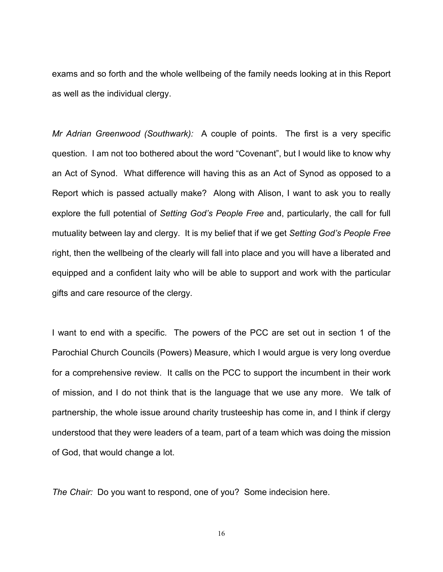exams and so forth and the whole wellbeing of the family needs looking at in this Report as well as the individual clergy.

*Mr Adrian Greenwood (Southwark):* A couple of points. The first is a very specific question. I am not too bothered about the word "Covenant", but I would like to know why an Act of Synod. What difference will having this as an Act of Synod as opposed to a Report which is passed actually make? Along with Alison, I want to ask you to really explore the full potential of *Setting God's People Free* and, particularly, the call for full mutuality between lay and clergy. It is my belief that if we get *Setting God's People Free* right, then the wellbeing of the clearly will fall into place and you will have a liberated and equipped and a confident laity who will be able to support and work with the particular gifts and care resource of the clergy.

I want to end with a specific. The powers of the PCC are set out in section 1 of the Parochial Church Councils (Powers) Measure, which I would argue is very long overdue for a comprehensive review. It calls on the PCC to support the incumbent in their work of mission, and I do not think that is the language that we use any more. We talk of partnership, the whole issue around charity trusteeship has come in, and I think if clergy understood that they were leaders of a team, part of a team which was doing the mission of God, that would change a lot.

*The Chair:* Do you want to respond, one of you? Some indecision here.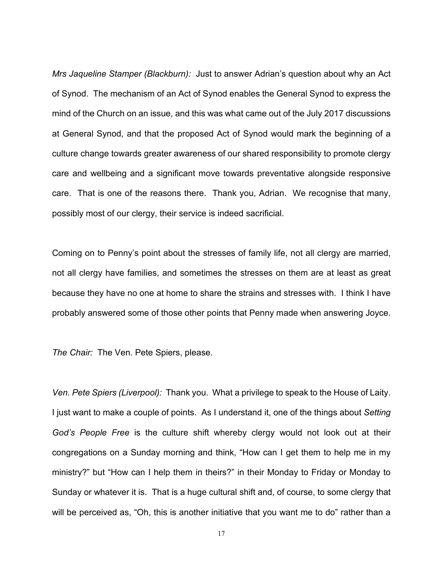*Mrs Jaqueline Stamper (Blackburn):* Just to answer Adrian's question about why an Act of Synod. The mechanism of an Act of Synod enables the General Synod to express the mind of the Church on an issue, and this was what came out of the July 2017 discussions at General Synod, and that the proposed Act of Synod would mark the beginning of a culture change towards greater awareness of our shared responsibility to promote clergy care and wellbeing and a significant move towards preventative alongside responsive care. That is one of the reasons there. Thank you, Adrian. We recognise that many, possibly most of our clergy, their service is indeed sacrificial.

Coming on to Penny's point about the stresses of family life, not all clergy are married, not all clergy have families, and sometimes the stresses on them are at least as great because they have no one at home to share the strains and stresses with. I think I have probably answered some of those other points that Penny made when answering Joyce.

*The Chair:* The Ven. Pete Spiers, please.

*Ven. Pete Spiers (Liverpool):* Thank you. What a privilege to speak to the House of Laity. I just want to make a couple of points. As I understand it, one of the things about *Setting God's People Free* is the culture shift whereby clergy would not look out at their congregations on a Sunday morning and think, "How can I get them to help me in my ministry?" but "How can I help them in theirs?" in their Monday to Friday or Monday to Sunday or whatever it is. That is a huge cultural shift and, of course, to some clergy that will be perceived as, "Oh, this is another initiative that you want me to do" rather than a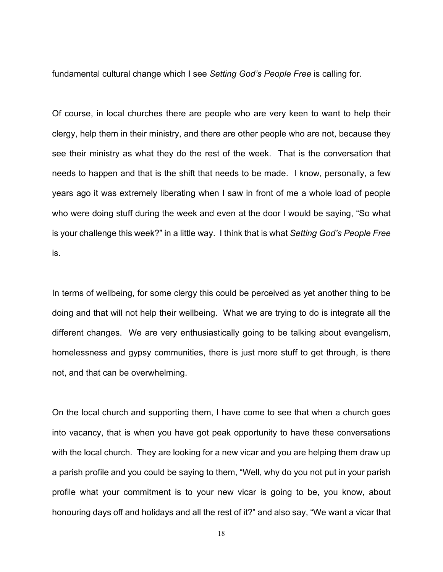fundamental cultural change which I see *Setting God's People Free* is calling for.

Of course, in local churches there are people who are very keen to want to help their clergy, help them in their ministry, and there are other people who are not, because they see their ministry as what they do the rest of the week. That is the conversation that needs to happen and that is the shift that needs to be made. I know, personally, a few years ago it was extremely liberating when I saw in front of me a whole load of people who were doing stuff during the week and even at the door I would be saying, "So what is your challenge this week?" in a little way. I think that is what *Setting God's People Free* is.

In terms of wellbeing, for some clergy this could be perceived as yet another thing to be doing and that will not help their wellbeing. What we are trying to do is integrate all the different changes. We are very enthusiastically going to be talking about evangelism, homelessness and gypsy communities, there is just more stuff to get through, is there not, and that can be overwhelming.

On the local church and supporting them, I have come to see that when a church goes into vacancy, that is when you have got peak opportunity to have these conversations with the local church. They are looking for a new vicar and you are helping them draw up a parish profile and you could be saying to them, "Well, why do you not put in your parish profile what your commitment is to your new vicar is going to be, you know, about honouring days off and holidays and all the rest of it?" and also say, "We want a vicar that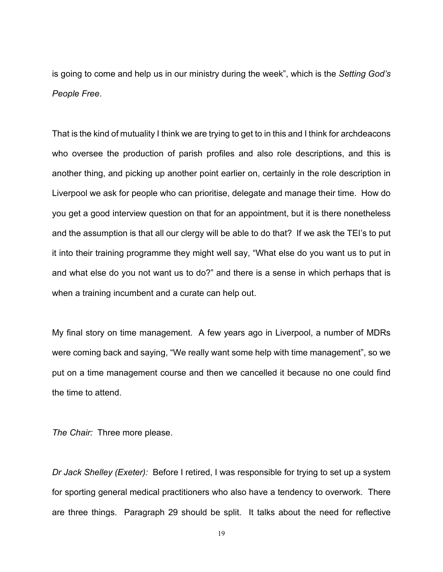is going to come and help us in our ministry during the week", which is the *Setting God's People Free*.

That is the kind of mutuality I think we are trying to get to in this and I think for archdeacons who oversee the production of parish profiles and also role descriptions, and this is another thing, and picking up another point earlier on, certainly in the role description in Liverpool we ask for people who can prioritise, delegate and manage their time. How do you get a good interview question on that for an appointment, but it is there nonetheless and the assumption is that all our clergy will be able to do that? If we ask the TEI's to put it into their training programme they might well say, "What else do you want us to put in and what else do you not want us to do?" and there is a sense in which perhaps that is when a training incumbent and a curate can help out.

My final story on time management. A few years ago in Liverpool, a number of MDRs were coming back and saying, "We really want some help with time management", so we put on a time management course and then we cancelled it because no one could find the time to attend.

*The Chair:* Three more please.

*Dr Jack Shelley (Exeter):* Before I retired, I was responsible for trying to set up a system for sporting general medical practitioners who also have a tendency to overwork. There are three things. Paragraph 29 should be split. It talks about the need for reflective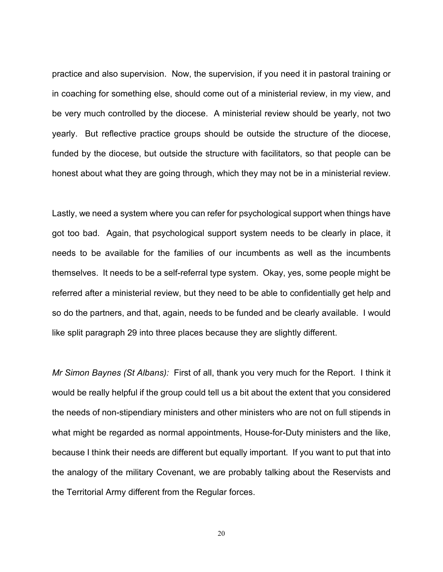practice and also supervision. Now, the supervision, if you need it in pastoral training or in coaching for something else, should come out of a ministerial review, in my view, and be very much controlled by the diocese. A ministerial review should be yearly, not two yearly. But reflective practice groups should be outside the structure of the diocese, funded by the diocese, but outside the structure with facilitators, so that people can be honest about what they are going through, which they may not be in a ministerial review.

Lastly, we need a system where you can refer for psychological support when things have got too bad. Again, that psychological support system needs to be clearly in place, it needs to be available for the families of our incumbents as well as the incumbents themselves. It needs to be a self-referral type system. Okay, yes, some people might be referred after a ministerial review, but they need to be able to confidentially get help and so do the partners, and that, again, needs to be funded and be clearly available. I would like split paragraph 29 into three places because they are slightly different.

*Mr Simon Baynes (St Albans):* First of all, thank you very much for the Report. I think it would be really helpful if the group could tell us a bit about the extent that you considered the needs of non-stipendiary ministers and other ministers who are not on full stipends in what might be regarded as normal appointments, House-for-Duty ministers and the like, because I think their needs are different but equally important. If you want to put that into the analogy of the military Covenant, we are probably talking about the Reservists and the Territorial Army different from the Regular forces.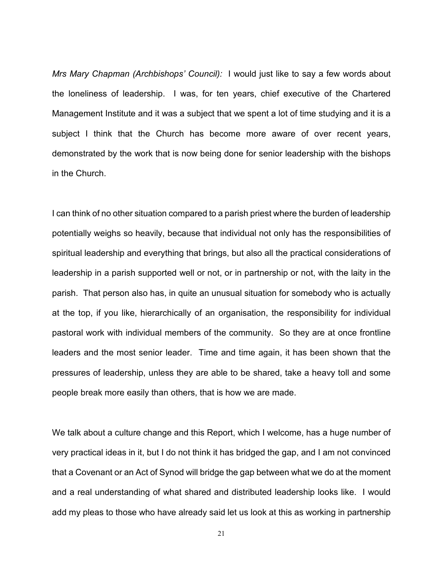*Mrs Mary Chapman (Archbishops' Council):* I would just like to say a few words about the loneliness of leadership. I was, for ten years, chief executive of the Chartered Management Institute and it was a subject that we spent a lot of time studying and it is a subject I think that the Church has become more aware of over recent years, demonstrated by the work that is now being done for senior leadership with the bishops in the Church.

I can think of no other situation compared to a parish priest where the burden of leadership potentially weighs so heavily, because that individual not only has the responsibilities of spiritual leadership and everything that brings, but also all the practical considerations of leadership in a parish supported well or not, or in partnership or not, with the laity in the parish. That person also has, in quite an unusual situation for somebody who is actually at the top, if you like, hierarchically of an organisation, the responsibility for individual pastoral work with individual members of the community. So they are at once frontline leaders and the most senior leader. Time and time again, it has been shown that the pressures of leadership, unless they are able to be shared, take a heavy toll and some people break more easily than others, that is how we are made.

We talk about a culture change and this Report, which I welcome, has a huge number of very practical ideas in it, but I do not think it has bridged the gap, and I am not convinced that a Covenant or an Act of Synod will bridge the gap between what we do at the moment and a real understanding of what shared and distributed leadership looks like. I would add my pleas to those who have already said let us look at this as working in partnership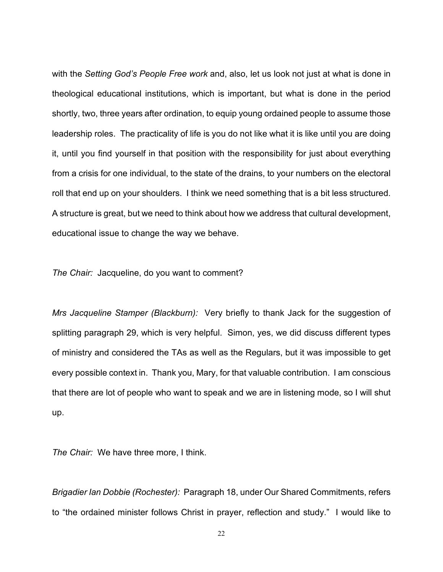with the *Setting God's People Free work* and, also, let us look not just at what is done in theological educational institutions, which is important, but what is done in the period shortly, two, three years after ordination, to equip young ordained people to assume those leadership roles. The practicality of life is you do not like what it is like until you are doing it, until you find yourself in that position with the responsibility for just about everything from a crisis for one individual, to the state of the drains, to your numbers on the electoral roll that end up on your shoulders. I think we need something that is a bit less structured. A structure is great, but we need to think about how we address that cultural development, educational issue to change the way we behave.

*The Chair:* Jacqueline, do you want to comment?

*Mrs Jacqueline Stamper (Blackburn):* Very briefly to thank Jack for the suggestion of splitting paragraph 29, which is very helpful. Simon, yes, we did discuss different types of ministry and considered the TAs as well as the Regulars, but it was impossible to get every possible context in. Thank you, Mary, for that valuable contribution. I am conscious that there are lot of people who want to speak and we are in listening mode, so I will shut up.

*The Chair:* We have three more, I think.

*Brigadier Ian Dobbie (Rochester):* Paragraph 18, under Our Shared Commitments, refers to "the ordained minister follows Christ in prayer, reflection and study." I would like to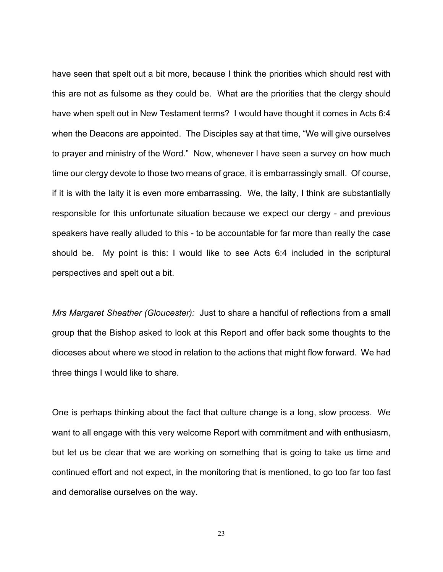have seen that spelt out a bit more, because I think the priorities which should rest with this are not as fulsome as they could be. What are the priorities that the clergy should have when spelt out in New Testament terms? I would have thought it comes in Acts 6:4 when the Deacons are appointed. The Disciples say at that time, "We will give ourselves to prayer and ministry of the Word." Now, whenever I have seen a survey on how much time our clergy devote to those two means of grace, it is embarrassingly small. Of course, if it is with the laity it is even more embarrassing. We, the laity, I think are substantially responsible for this unfortunate situation because we expect our clergy - and previous speakers have really alluded to this - to be accountable for far more than really the case should be. My point is this: I would like to see Acts 6:4 included in the scriptural perspectives and spelt out a bit.

*Mrs Margaret Sheather (Gloucester):* Just to share a handful of reflections from a small group that the Bishop asked to look at this Report and offer back some thoughts to the dioceses about where we stood in relation to the actions that might flow forward. We had three things I would like to share.

One is perhaps thinking about the fact that culture change is a long, slow process. We want to all engage with this very welcome Report with commitment and with enthusiasm, but let us be clear that we are working on something that is going to take us time and continued effort and not expect, in the monitoring that is mentioned, to go too far too fast and demoralise ourselves on the way.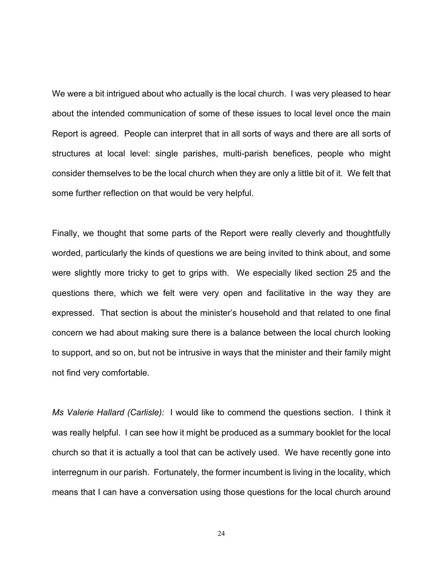We were a bit intrigued about who actually is the local church. I was very pleased to hear about the intended communication of some of these issues to local level once the main Report is agreed. People can interpret that in all sorts of ways and there are all sorts of structures at local level: single parishes, multi-parish benefices, people who might consider themselves to be the local church when they are only a little bit of it. We felt that some further reflection on that would be very helpful.

Finally, we thought that some parts of the Report were really cleverly and thoughtfully worded, particularly the kinds of questions we are being invited to think about, and some were slightly more tricky to get to grips with. We especially liked section 25 and the questions there, which we felt were very open and facilitative in the way they are expressed. That section is about the minister's household and that related to one final concern we had about making sure there is a balance between the local church looking to support, and so on, but not be intrusive in ways that the minister and their family might not find very comfortable.

*Ms Valerie Hallard (Carlisle):* I would like to commend the questions section. I think it was really helpful. I can see how it might be produced as a summary booklet for the local church so that it is actually a tool that can be actively used. We have recently gone into interregnum in our parish. Fortunately, the former incumbent is living in the locality, which means that I can have a conversation using those questions for the local church around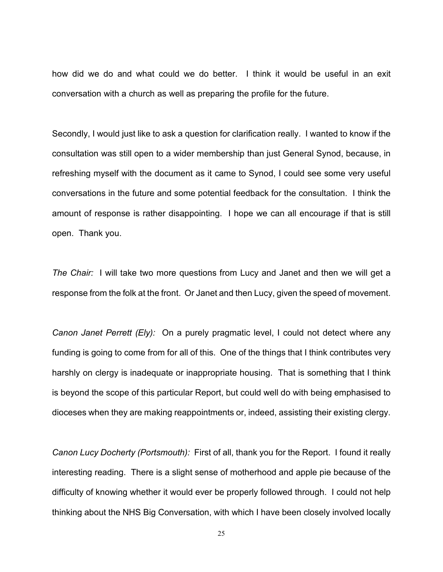how did we do and what could we do better. I think it would be useful in an exit conversation with a church as well as preparing the profile for the future.

Secondly, I would just like to ask a question for clarification really. I wanted to know if the consultation was still open to a wider membership than just General Synod, because, in refreshing myself with the document as it came to Synod, I could see some very useful conversations in the future and some potential feedback for the consultation. I think the amount of response is rather disappointing. I hope we can all encourage if that is still open. Thank you.

*The Chair:* I will take two more questions from Lucy and Janet and then we will get a response from the folk at the front. Or Janet and then Lucy, given the speed of movement.

*Canon Janet Perrett (Ely):* On a purely pragmatic level, I could not detect where any funding is going to come from for all of this. One of the things that I think contributes very harshly on clergy is inadequate or inappropriate housing. That is something that I think is beyond the scope of this particular Report, but could well do with being emphasised to dioceses when they are making reappointments or, indeed, assisting their existing clergy.

*Canon Lucy Docherty (Portsmouth):* First of all, thank you for the Report. I found it really interesting reading. There is a slight sense of motherhood and apple pie because of the difficulty of knowing whether it would ever be properly followed through. I could not help thinking about the NHS Big Conversation, with which I have been closely involved locally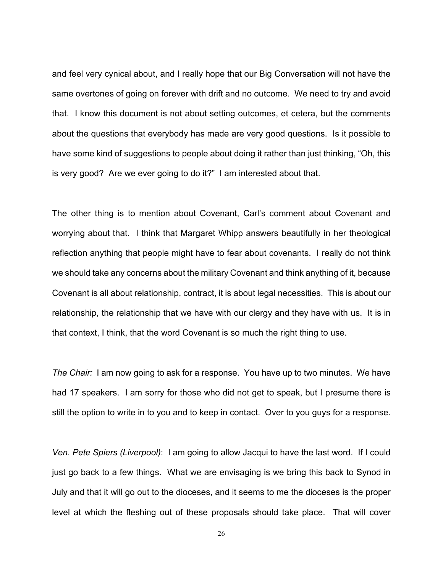and feel very cynical about, and I really hope that our Big Conversation will not have the same overtones of going on forever with drift and no outcome. We need to try and avoid that. I know this document is not about setting outcomes, et cetera, but the comments about the questions that everybody has made are very good questions. Is it possible to have some kind of suggestions to people about doing it rather than just thinking, "Oh, this is very good? Are we ever going to do it?" I am interested about that.

The other thing is to mention about Covenant, Carl's comment about Covenant and worrying about that. I think that Margaret Whipp answers beautifully in her theological reflection anything that people might have to fear about covenants. I really do not think we should take any concerns about the military Covenant and think anything of it, because Covenant is all about relationship, contract, it is about legal necessities. This is about our relationship, the relationship that we have with our clergy and they have with us. It is in that context, I think, that the word Covenant is so much the right thing to use.

*The Chair:* I am now going to ask for a response. You have up to two minutes. We have had 17 speakers. I am sorry for those who did not get to speak, but I presume there is still the option to write in to you and to keep in contact. Over to you guys for a response.

*Ven. Pete Spiers (Liverpool)*: I am going to allow Jacqui to have the last word. If I could just go back to a few things. What we are envisaging is we bring this back to Synod in July and that it will go out to the dioceses, and it seems to me the dioceses is the proper level at which the fleshing out of these proposals should take place. That will cover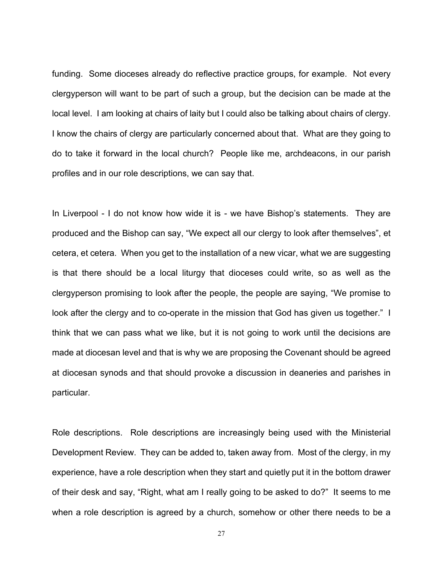funding. Some dioceses already do reflective practice groups, for example. Not every clergyperson will want to be part of such a group, but the decision can be made at the local level. I am looking at chairs of laity but I could also be talking about chairs of clergy. I know the chairs of clergy are particularly concerned about that. What are they going to do to take it forward in the local church? People like me, archdeacons, in our parish profiles and in our role descriptions, we can say that.

In Liverpool - I do not know how wide it is - we have Bishop's statements. They are produced and the Bishop can say, "We expect all our clergy to look after themselves", et cetera, et cetera. When you get to the installation of a new vicar, what we are suggesting is that there should be a local liturgy that dioceses could write, so as well as the clergyperson promising to look after the people, the people are saying, "We promise to look after the clergy and to co-operate in the mission that God has given us together." I think that we can pass what we like, but it is not going to work until the decisions are made at diocesan level and that is why we are proposing the Covenant should be agreed at diocesan synods and that should provoke a discussion in deaneries and parishes in particular.

Role descriptions. Role descriptions are increasingly being used with the Ministerial Development Review. They can be added to, taken away from. Most of the clergy, in my experience, have a role description when they start and quietly put it in the bottom drawer of their desk and say, "Right, what am I really going to be asked to do?" It seems to me when a role description is agreed by a church, somehow or other there needs to be a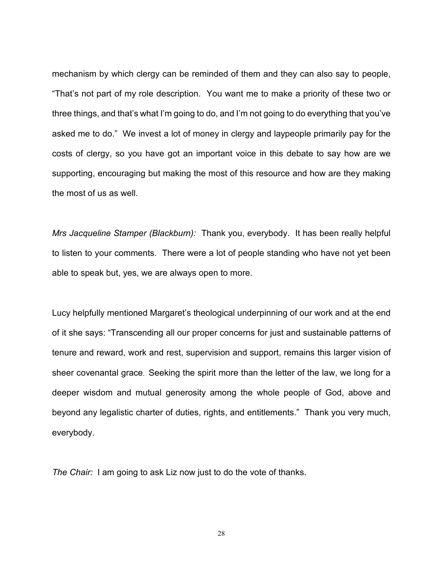mechanism by which clergy can be reminded of them and they can also say to people, "That's not part of my role description. You want me to make a priority of these two or three things, and that's what I'm going to do, and I'm not going to do everything that you've asked me to do." We invest a lot of money in clergy and laypeople primarily pay for the costs of clergy, so you have got an important voice in this debate to say how are we supporting, encouraging but making the most of this resource and how are they making the most of us as well.

*Mrs Jacqueline Stamper (Blackburn):* Thank you, everybody. It has been really helpful to listen to your comments. There were a lot of people standing who have not yet been able to speak but, yes, we are always open to more.

Lucy helpfully mentioned Margaret's theological underpinning of our work and at the end of it she says: "Transcending all our proper concerns for just and sustainable patterns of tenure and reward, work and rest, supervision and support, remains this larger vision of sheer covenantal grace. Seeking the spirit more than the letter of the law, we long for a deeper wisdom and mutual generosity among the whole people of God, above and beyond any legalistic charter of duties, rights, and entitlements." Thank you very much, everybody.

*The Chair:* I am going to ask Liz now just to do the vote of thanks.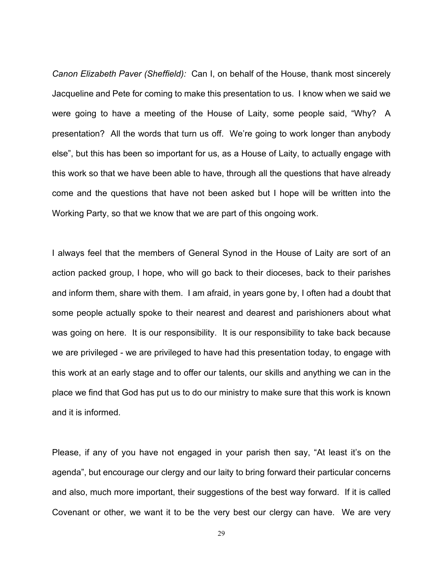*Canon Elizabeth Paver (Sheffield):* Can I, on behalf of the House, thank most sincerely Jacqueline and Pete for coming to make this presentation to us. I know when we said we were going to have a meeting of the House of Laity, some people said, "Why? A presentation? All the words that turn us off. We're going to work longer than anybody else", but this has been so important for us, as a House of Laity, to actually engage with this work so that we have been able to have, through all the questions that have already come and the questions that have not been asked but I hope will be written into the Working Party, so that we know that we are part of this ongoing work.

I always feel that the members of General Synod in the House of Laity are sort of an action packed group, I hope, who will go back to their dioceses, back to their parishes and inform them, share with them. I am afraid, in years gone by, I often had a doubt that some people actually spoke to their nearest and dearest and parishioners about what was going on here. It is our responsibility. It is our responsibility to take back because we are privileged - we are privileged to have had this presentation today, to engage with this work at an early stage and to offer our talents, our skills and anything we can in the place we find that God has put us to do our ministry to make sure that this work is known and it is informed.

Please, if any of you have not engaged in your parish then say, "At least it's on the agenda", but encourage our clergy and our laity to bring forward their particular concerns and also, much more important, their suggestions of the best way forward. If it is called Covenant or other, we want it to be the very best our clergy can have. We are very